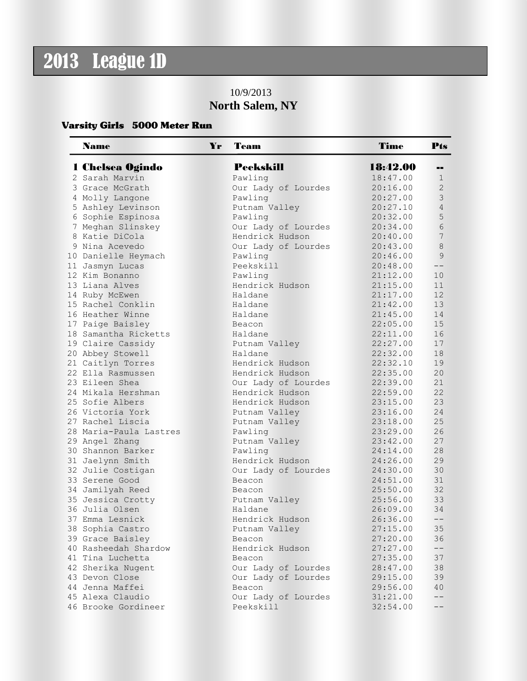## 2013 League 1D

## 10/9/2013 **North Salem, NY**

## Varsity Girls 5000 Meter Run

| <b>Name</b><br>Yr      | Team                | Time     | Pts            |
|------------------------|---------------------|----------|----------------|
| 1 Chelsea Ogindo       | <b>Peekskill</b>    | 18:42.00 |                |
| 2 Sarah Marvin         | Pawling             | 18:47.00 | 1              |
| 3 Grace McGrath        | Our Lady of Lourdes | 20:16.00 | $\overline{2}$ |
| 4 Molly Langone        | Pawling             | 20:27.00 | $\mathcal{S}$  |
| 5 Ashley Levinson      | Putnam Valley       | 20:27.10 | $\overline{4}$ |
| 6 Sophie Espinosa      | Pawling             | 20:32.00 | 5              |
| 7 Meghan Slinskey      | Our Lady of Lourdes | 20:34.00 | 6              |
| 8 Katie DiCola         | Hendrick Hudson     | 20:40.00 | 7              |
| 9 Nina Acevedo         | Our Lady of Lourdes | 20:43.00 | 8              |
| 10 Danielle Heymach    | Pawling             | 20:46.00 | 9              |
| 11 Jasmyn Lucas        | Peekskill           | 20:48.00 | $--$           |
| 12 Kim Bonanno         | Pawling             | 21:12.00 | 10             |
| 13 Liana Alves         | Hendrick Hudson     | 21:15.00 | 11             |
| 14 Ruby McEwen         | Haldane             | 21:17.00 | 12             |
| 15 Rachel Conklin      | Haldane             | 21:42.00 | 13             |
| 16 Heather Winne       | Haldane             | 21:45.00 | 14             |
| 17 Paige Baisley       | Beacon              | 22:05.00 | 15             |
| 18 Samantha Ricketts   | Haldane             | 22:11.00 | 16             |
| 19 Claire Cassidy      | Putnam Valley       | 22:27.00 | 17             |
| 20 Abbey Stowell       | Haldane             | 22:32.00 | 18             |
| 21 Caitlyn Torres      | Hendrick Hudson     | 22:32.10 | 19             |
| 22 Ella Rasmussen      | Hendrick Hudson     | 22:35.00 | 20             |
| 23 Eileen Shea         | Our Lady of Lourdes | 22:39.00 | 21             |
| 24 Mikala Hershman     | Hendrick Hudson     | 22:59.00 | 22             |
| 25 Sofie Albers        | Hendrick Hudson     | 23:15.00 | 23             |
| 26 Victoria York       | Putnam Valley       | 23:16.00 | 24             |
| 27 Rachel Liscia       | Putnam Valley       | 23:18.00 | 25             |
| 28 Maria-Paula Lastres | Pawling             | 23:29.00 | 26             |
| 29 Angel Zhang         | Putnam Valley       | 23:42.00 | 27             |
| 30 Shannon Barker      | Pawling             | 24:14.00 | 28             |
| 31 Jaelynn Smith       | Hendrick Hudson     | 24:26.00 | 29             |
| 32 Julie Costigan      | Our Lady of Lourdes | 24:30.00 | 30             |
| 33 Serene Good         | Beacon              | 24:51.00 | 31             |
| 34 Jamilyah Reed       | Beacon              | 25:50.00 | 32             |
| 35 Jessica Crotty      | Putnam Valley       | 25:56.00 | 33             |
| 36 Julia Olsen         | Haldane             | 26:09.00 | 34             |
| 37 Emma Lesnick        | Hendrick Hudson     | 26:36.00 | $- -$          |
| 38 Sophia Castro       | Putnam Valley       | 27:15.00 | 35             |
| 39 Grace Baisley       | Beacon              | 27:20.00 | 36             |
| 40 Rasheedah Shardow   | Hendrick Hudson     | 27:27.00 | --             |
| 41 Tina Luchetta       | Beacon              | 27:35.00 | 37             |
| 42 Sherika Nugent      | Our Lady of Lourdes | 28:47.00 | 38             |
| 43 Devon Close         | Our Lady of Lourdes | 29:15.00 | 39             |
| 44 Jenna Maffei        | Beacon              | 29:56.00 | 40             |
| 45 Alexa Claudio       | Our Lady of Lourdes | 31:21.00 | --             |
| 46 Brooke Gordineer    | Peekskill           | 32:54.00 | --             |